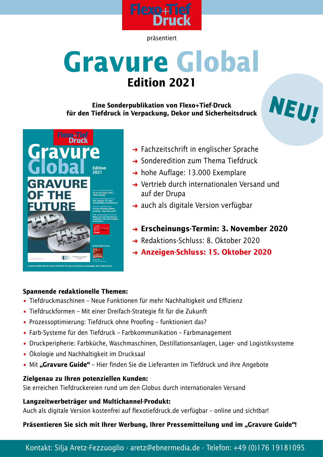

präsentiert

# **Gravure Global Edition 2021**

**Eine Sonderpublikation von Flexo+Tief-Druck für den Tiefdruck in Verpackung, Dekor und Sicherheitsdruck**





- **→ Fachzeitschrift in englischer Sprache**
- **→ Sonderedition zum Thema Tiefdruck**
- → hohe Auflage: 13.000 Exemplare
- **→ Vertrieb durch internationalen Versand und** auf der Drupa
- $\rightarrow$  auch als digitale Version verfügbar
- **Erscheinungs-Termin: 3. November 2020**
- **→ Redaktions-Schluss: 8. Oktober 2020**
- **Anzeigen-Schluss: 15. Oktober 2020**

#### **Spannende redaktionelle Themen:**

- Tiefdruckmaschinen Neue Funktionen für mehr Nachhaltigkeit und Effizienz
- Tiefdruckformen Mit einer Dreifach-Strategie fit für die Zukunft
- Prozessoptimierung: Tiefdruck ohne Proofing funktioniert das?
- Farb-Systeme für den Tiefdruck Farbkommunikation Farbmanagement
- Druckperipherie: Farbküche, Waschmaschinen, Destillationsanlagen, Lager- und Logistiksysteme
- Ökologie und Nachhaltigkeit im Drucksaal
- Mit "Gravure Guide" Hier finden Sie die Lieferanten im Tiefdruck und ihre Angebote

#### **Zielgenau zu Ihren potenziellen Kunden:**

Sie erreichen Tiefdruckereien rund um den Globus durch internationalen Versand

#### **Langzeitwerbeträger und Multichannel-Produkt:**

Auch als digitale Version kostenfrei auf flexotiefdruck.de verfügbar – online und sichtbar!

Präsentieren Sie sich mit Ihrer Werbung, Ihrer Pressemitteilung und im "Gravure Guide"!